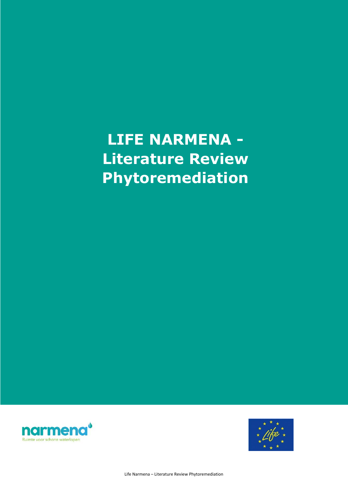# **LIFE NARMENA - Literature Review Phytoremediation**





Life Narmena – Literature Review Phytoremediation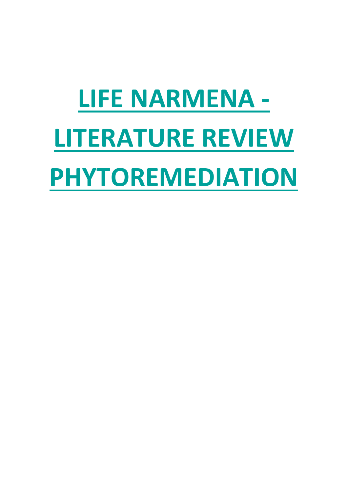# **LIFE NARMENA - LITERATURE REVIEW PHYTOREMEDIATION**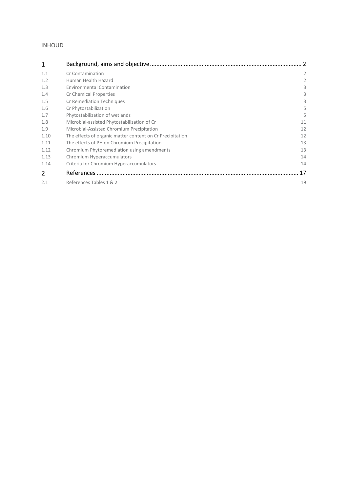#### INHOUD

| 1    |                                                           |                |
|------|-----------------------------------------------------------|----------------|
| 1.1  | Cr Contamination                                          | $\overline{2}$ |
| 1.2  | Human Health Hazard                                       | 2              |
| 1.3  | <b>Environmental Contamination</b>                        | 3              |
| 1.4  | Cr Chemical Properties                                    | 3              |
| 1.5  | Cr Remediation Techniques                                 | 3              |
| 1.6  | Cr Phytostabilization                                     | 5              |
| 1.7  | Phytostabilization of wetlands                            | 5              |
| 1.8  | Microbial-assisted Phytostabilization of Cr               | 11             |
| 1.9  | Microbial-Assisted Chromium Precipitation                 | 12             |
| 1.10 | The effects of organic matter content on Cr Precipitation | 12             |
| 1.11 | The effects of PH on Chromium Precipitation               | 13             |
| 1.12 | Chromium Phytoremediation using amendments                | 13             |
| 1.13 | Chromium Hyperaccumulators                                | 14             |
| 1.14 | Criteria for Chromium Hyperaccumulators                   | 14             |
| 2    |                                                           | 17             |
| 2.1  | References Tables 1 & 2                                   | 19             |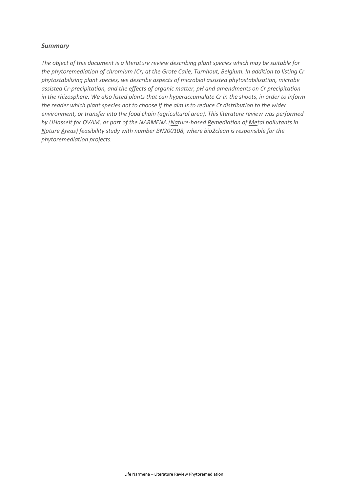#### *Summary*

*The object of this document is a literature review describing plant species which may be suitable for the phytoremediation of chromium (Cr) at the Grote Calie, Turnhout, Belgium. In addition to listing Cr phytostabilizing plant species, we describe aspects of microbial assisted phytostabilisation, microbe assisted Cr-precipitation, and the effects of organic matter, pH and amendments on Cr precipitation in the rhizosphere. We also listed plants that can hyperaccumulate Cr in the shoots, in order to inform the reader which plant species not to choose if the aim is to reduce Cr distribution to the wider environment, or transfer into the food chain (agricultural area). This literature review was performed by UHasselt for OVAM, as part of the NARMENA (Nature-based Remediation of Metal pollutants in Nature Areas) feasibility study with number BN200108, where bio2clean is responsible for the phytoremediation projects.*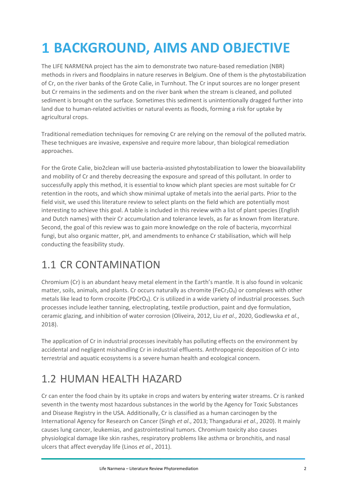# <span id="page-4-0"></span>**BACKGROUND, AIMS AND OBJECTIVE**

The LIFE NARMENA project has the aim to demonstrate two nature-based remediation (NBR) methods in rivers and floodplains in nature reserves in Belgium. One of them is the phytostabilization of Cr, on the river banks of the Grote Calie, in Turnhout. The Cr input sources are no longer present but Cr remains in the sediments and on the river bank when the stream is cleaned, and polluted sediment is brought on the surface. Sometimes this sediment is unintentionally dragged further into land due to human-related activities or natural events as floods, forming a risk for uptake by agricultural crops.

Traditional remediation techniques for removing Cr are relying on the removal of the polluted matrix. These techniques are invasive, expensive and require more labour, than biological remediation approaches.

For the Grote Calie, bio2clean will use bacteria-assisted phytostabilization to lower the bioavailability and mobility of Cr and thereby decreasing the exposure and spread of this pollutant. In order to successfully apply this method, it is essential to know which plant species are most suitable for Cr retention in the roots, and which show minimal uptake of metals into the aerial parts. Prior to the field visit, we used this literature review to select plants on the field which are potentially most interesting to achieve this goal. A table is included in this review with a list of plant species (English and Dutch names) with their Cr accumulation and tolerance levels, as far as known from literature. Second, the goal of this review was to gain more knowledge on the role of bacteria, mycorrhizal fungi, but also organic matter, pH, and amendments to enhance Cr stabilisation, which will help conducting the feasibility study.

## <span id="page-4-1"></span>1.1 CR CONTAMINATION

Chromium (Cr) is an abundant heavy metal element in the Earth's mantle. It is also found in volcanic matter, soils, animals, and plants. Cr occurs naturally as chromite (FeCr<sub>2</sub>O<sub>4</sub>) or complexes with other metals like lead to form crocoite (PbCrO4). Cr is utilized in a wide variety of industrial processes. Such processes include leather tanning, electroplating, textile production, paint and dye formulation, ceramic glazing, and inhibition of water corrosion (Oliveira, 2012, Liu *et al*., 2020, Godlewska *et al*., 2018).

The application of Cr in industrial processes inevitably has polluting effects on the environment by accidental and negligent mishandling Cr in industrial effluents. Anthropogenic deposition of Cr into terrestrial and aquatic ecosystems is a severe human health and ecological concern.

## <span id="page-4-2"></span>1.2 HUMAN HEALTH HAZARD

Cr can enter the food chain by its uptake in crops and waters by entering water streams. Cr is ranked seventh in the twenty most hazardous substances in the world by the Agency for Toxic Substances and Disease Registry in the USA. Additionally, Cr is classified as a human carcinogen by the International Agency for Research on Cancer (Singh *et al*., 2013; Thangadurai *et al*., 2020). It mainly causes lung cancer, leukemias, and gastrointestinal tumors. Chromium toxicity also causes physiological damage like skin rashes, respiratory problems like asthma or bronchitis, and nasal ulcers that affect everyday life (Linos *et al*., 2011).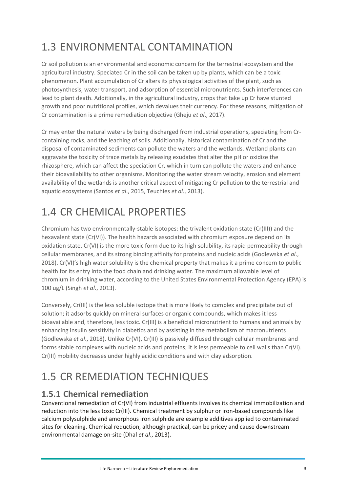## <span id="page-5-0"></span>1.3 ENVIRONMENTAL CONTAMINATION

Cr soil pollution is an environmental and economic concern for the terrestrial ecosystem and the agricultural industry. Speciated Cr in the soil can be taken up by plants, which can be a toxic phenomenon. Plant accumulation of Cr alters its physiological activities of the plant, such as photosynthesis, water transport, and adsorption of essential micronutrients. Such interferences can lead to plant death. Additionally, in the agricultural industry, crops that take up Cr have stunted growth and poor nutritional profiles, which devalues their currency. For these reasons, mitigation of Cr contamination is a prime remediation objective (Gheju *et al*., 2017).

Cr may enter the natural waters by being discharged from industrial operations, speciating from Crcontaining rocks, and the leaching of soils. Additionally, historical contamination of Cr and the disposal of contaminated sediments can pollute the waters and the wetlands. Wetland plants can aggravate the toxicity of trace metals by releasing exudates that alter the pH or oxidize the rhizosphere, which can affect the speciation Cr, which in turn can pollute the waters and enhance their bioavailability to other organisms. Monitoring the water stream velocity, erosion and element availability of the wetlands is another critical aspect of mitigating Cr pollution to the terrestrial and aquatic ecosystems (Santos *et al*., 2015, Teuchies *et al*., 2013).

## <span id="page-5-1"></span>1.4 CR CHEMICAL PROPERTIES

Chromium has two environmentally-stable isotopes: the trivalent oxidation state (Cr(III)) and the hexavalent state (Cr(VI)). The health hazards associated with chromium exposure depend on its oxidation state. Cr(VI) is the more toxic form due to its high solubility, its rapid permeability through cellular membranes, and its strong binding affinity for proteins and nucleic acids (Godlewska *et al*., 2018). Cr(VI)'s high water solubility is the chemical property that makes it a prime concern to public health for its entry into the food chain and drinking water. The maximum allowable level of chromium in drinking water, according to the United States Environmental Protection Agency (EPA) is 100 ug/L (Singh *et al*., 2013).

Conversely, Cr(III) is the less soluble isotope that is more likely to complex and precipitate out of solution; it adsorbs quickly on mineral surfaces or organic compounds, which makes it less bioavailable and, therefore, less toxic. Cr(III) is a beneficial micronutrient to humans and animals by enhancing insulin sensitivity in diabetics and by assisting in the metabolism of macronutrients (Godlewska *et al*., 2018). Unlike Cr(VI), Cr(III) is passively diffused through cellular membranes and forms stable complexes with nucleic acids and proteins; it is less permeable to cell walls than Cr(VI). Cr(III) mobility decreases under highly acidic conditions and with clay adsorption.

## <span id="page-5-2"></span>1.5 CR REMEDIATION TECHNIQUES

#### **1.5.1 Chemical remediation**

Conventional remediation of Cr(VI) from industrial effluents involves its chemical immobilization and reduction into the less toxic Cr(III). Chemical treatment by sulphur or iron-based compounds like calcium polysulphide and amorphous iron sulphide are example additives applied to contaminated sites for cleaning. Chemical reduction, although practical, can be pricey and cause downstream environmental damage on-site (Dhal *et al*., 2013).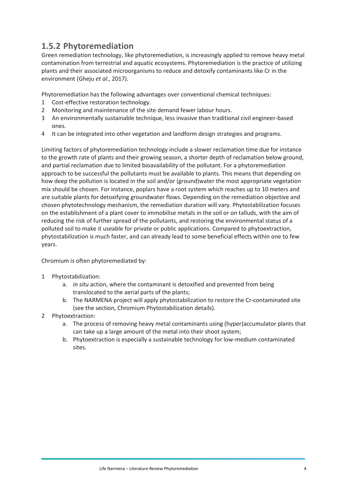#### **1.5.2 Phytoremediation**

Green remediation technology, like phytoremediation, is increasingly applied to remove heavy metal contamination from terrestrial and aquatic ecosystems. Phytoremediation is the practice of utilizing plants and their associated microorganisms to reduce and detoxify contaminants like Cr in the environment (Gheju *et al*., 2017).

Phytoremediation has the following advantages over conventional chemical techniques:

- 1 Cost-effective restoration technology.
- 2 Monitoring and maintenance of the site demand fewer labour hours.
- 3 An environmentally sustainable technique, less invasive than traditional civil engineer-based ones.
- 4 It can be integrated into other vegetation and landform design strategies and programs.

Limiting factors of phytoremediation technology include a slower reclamation time due for instance to the growth rate of plants and their growing season, a shorter depth of reclamation below ground, and partial reclamation due to limited bioavailability of the pollutant. For a phytoremediation approach to be successful the pollutants must be available to plants. This means that depending on how deep the pollution is located in the soil and/or (ground)water the most appropriate vegetation mix should be chosen. For instance, poplars have a root system which reaches up to 10 meters and are suitable plants for detoxifying groundwater flows. Depending on the remediation objective and chosen phytotechnology mechanism, the remediation duration will vary. Phytostabilization focuses on the establishment of a plant cover to immobilise metals in the soil or on talluds, with the aim of reducing the risk of further spread of the pollutants, and restoring the environmental status of a polluted soil to make it useable for private or public applications. Compared to phytoextraction, phytostabilization is much faster, and can already lead to some beneficial effects within one to few years.

Chromium is often phytoremediated by:

- 1 Phytostabilization:
	- a. *in situ* action, where the contaminant is detoxified and prevented from being translocated to the aerial parts of the plants;
	- b. The NARMENA project will apply phytostabilization to restore the Cr-contaminated site (see the section, Chromium Phytostabilization details).
- 2 Phytoextraction:
	- a. The process of removing heavy metal contaminants using (hyper)accumulator plants that can take up a large amount of the metal into their shoot system;
	- b. Phytoextraction is especially a sustainable technology for low-medium contaminated sites.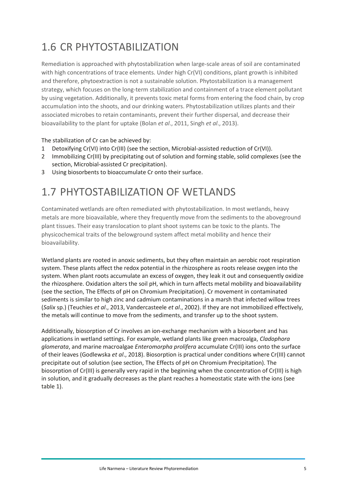## <span id="page-7-0"></span>1.6 CR PHYTOSTABILIZATION

Remediation is approached with phytostabilization when large-scale areas of soil are contaminated with high concentrations of trace elements. Under high Cr(VI) conditions, plant growth is inhibited and therefore, phytoextraction is not a sustainable solution. Phytostabilization is a management strategy, which focuses on the long-term stabilization and containment of a trace element pollutant by using vegetation. Additionally, it prevents toxic metal forms from entering the food chain, by crop accumulation into the shoots, and our drinking waters. Phytostabilization utilizes plants and their associated microbes to retain contaminants, prevent their further dispersal, and decrease their bioavailability to the plant for uptake (Bolan *et al*., 2011, Singh *et al*., 2013).

#### The stabilization of Cr can be achieved by:

- 1 Detoxifying Cr(VI) into Cr(III) (see the section, Microbial-assisted reduction of Cr(VI)).
- 2 Immobilizing Cr(III) by precipitating out of solution and forming stable, solid complexes (see the section, Microbial-assisted Cr precipitation).
- <span id="page-7-1"></span>3 Using biosorbents to bioaccumulate Cr onto their surface.

#### 1.7 PHYTOSTABILIZATION OF WETLANDS

Contaminated wetlands are often remediated with phytostabilization. In most wetlands, heavy metals are more bioavailable, where they frequently move from the sediments to the aboveground plant tissues. Their easy translocation to plant shoot systems can be toxic to the plants. The physicochemical traits of the belowground system affect metal mobility and hence their bioavailability.

Wetland plants are rooted in anoxic sediments, but they often maintain an aerobic root respiration system. These plants affect the redox potential in the rhizosphere as roots release oxygen into the system. When plant roots accumulate an excess of oxygen, they leak it out and consequently oxidize the rhizosphere. Oxidation alters the soil pH, which in turn affects metal mobility and bioavailability (see the section, The Effects of pH on Chromium Precipitation). Cr movement in contaminated sediments is similar to high zinc and cadmium contaminations in a marsh that infected willow trees (*Salix* sp.) (Teuchies *et al*., 2013, Vandercasteele *et al*., 2002). If they are not immobilized effectively, the metals will continue to move from the sediments, and transfer up to the shoot system.

Additionally, biosorption of Cr involves an ion-exchange mechanism with a biosorbent and has applications in wetland settings. For example, wetland plants like green macroalga, *Cladophora glomerata*, and marine macroalgae *Enteromorpha prolifera* accumulate Cr(III) ions onto the surface of their leaves (Godlewska *et al*., 2018). Biosorption is practical under conditions where Cr(III) cannot precipitate out of solution (see section, The Effects of pH on Chromium Precipitation). The biosorption of Cr(III) is generally very rapid in the beginning when the concentration of Cr(III) is high in solution, and it gradually decreases as the plant reaches a homeostatic state with the ions (see table 1).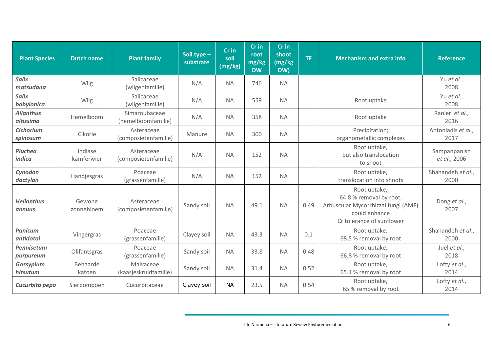| <b>Plant Species</b>          | <b>Dutch name</b>     | <b>Plant family</b>                 | Soil type -<br>substrate | Cr in<br>soil<br>(mg/kg) | Cr in<br>root<br>mg/kg<br><b>DW</b> | Cr in<br>shoot<br>(mg/kg<br>DW) | <b>TF</b> | <b>Mechanism and extra info</b>                                                                                              | <b>Reference</b>             |
|-------------------------------|-----------------------|-------------------------------------|--------------------------|--------------------------|-------------------------------------|---------------------------------|-----------|------------------------------------------------------------------------------------------------------------------------------|------------------------------|
| <b>Salix</b><br>matsudana     | Wilg                  | Salicaceae<br>(wilgenfamilie)       | N/A                      | <b>NA</b>                | 746                                 | <b>NA</b>                       |           |                                                                                                                              | Yu et al.,<br>2008           |
| <b>Salix</b><br>babylonica    | Wilg                  | Salicaceae<br>(wilgenfamilie)       | N/A                      | <b>NA</b>                | 559                                 | <b>NA</b>                       |           | Root uptake                                                                                                                  | Yu et al.,<br>2008           |
| <b>Ailanthus</b><br>altissima | Hemelboom             | Simaroubaceae<br>(hemelboomfamilie) | N/A                      | <b>NA</b>                | 358                                 | <b>NA</b>                       |           | Root uptake                                                                                                                  | Ranieri et al.,<br>2016      |
| <b>Cichorium</b><br>spinosum  | Cikorie               | Asteraceae<br>(composietenfamilie)  | Manure                   | <b>NA</b>                | 300                                 | <b>NA</b>                       |           | Precipitation;<br>organometallic complexes                                                                                   | Antoniadis et al.,<br>2017   |
| <b>Pluchea</b><br>indica      | Indiase<br>kamferwier | Asteraceae<br>(composietenfamilie)  | N/A                      | <b>NA</b>                | 152                                 | <b>NA</b>                       |           | Root uptake,<br>but also translocation<br>to shoot                                                                           | Sampanpanish<br>et al., 2006 |
| Cynodon<br>dactylon           | Handjesgras           | Poaceae<br>(grassenfamilie)         | N/A                      | <b>NA</b>                | 152                                 | <b>NA</b>                       |           | Root uptake,<br>translocation into shoots                                                                                    | Shahandeh et al<br>2000      |
| <b>Helianthus</b><br>annuus   | Gewone<br>zonnebloem  | Asteraceae<br>(composietenfamilie)  | Sandy soil               | <b>NA</b>                | 49.1                                | <b>NA</b>                       | 0.49      | Root uptake,<br>64.8 % removal by root,<br>Arbuscular Mycorrhizzal fungi (AMF)<br>could enhance<br>Cr tolerance of sunflower | Dong et al.,<br>2007         |
| <b>Panicum</b><br>antidotal   | Vingergras            | Poaceae<br>(grassenfamilie)         | Clayey soil              | <b>NA</b>                | 43.3                                | <b>NA</b>                       | 0.1       | Root uptake,<br>68.5 % removal by root                                                                                       | Shahandeh et al.,<br>2000    |
| Pennisetum<br>purpureum       | Olifantsgras          | Poaceae<br>(grassenfamilie)         | Sandy soil               | <b>NA</b>                | 33.8                                | <b>NA</b>                       | 0.48      | Root uptake,<br>66.8 % removal by root                                                                                       | Juel et al.,<br>2018         |
| Gossypium<br>hirsutum         | Behaarde<br>katoen    | Malvaceae<br>(kaasjeskruidfamilie)  | Sandy soil               | <b>NA</b>                | 31.4                                | <b>NA</b>                       | 0.52      | Root uptake,<br>65.1 % removal by root                                                                                       | Lofty et al.,<br>2014        |
| Cucurbita pepo                | Sierpompoen           | Cucurbitaceae                       | Clayey soil              | <b>NA</b>                | 23.5                                | <b>NA</b>                       | 0.54      | Root uptake,<br>65 % removal by root                                                                                         | Lofty et al.,<br>2014        |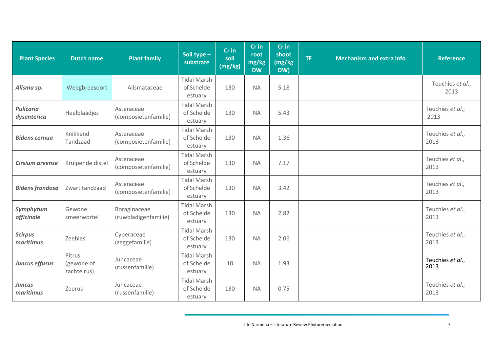| <b>Plant Species</b>            | <b>Dutch name</b>                   | <b>Plant family</b>                  | Soil type -<br>substrate                    | Cr in<br>soil<br>(mg/kg) | Cr in<br>root<br>mg/kg<br><b>DW</b> | Cr in<br>shoot<br>(mg/kg<br>DW) | <b>TF</b> | <b>Mechanism and extra info</b> | <b>Reference</b>         |
|---------------------------------|-------------------------------------|--------------------------------------|---------------------------------------------|--------------------------|-------------------------------------|---------------------------------|-----------|---------------------------------|--------------------------|
| Alisma sp.                      | Weegbreesoort                       | Alismataceae                         | <b>Tidal Marsh</b><br>of Schelde<br>estuary | 130                      | <b>NA</b>                           | 5.18                            |           |                                 | Teuchies et al.,<br>2013 |
| <b>Pulicaria</b><br>dysenterica | Heelblaadjes                        | Asteraceae<br>(composietenfamilie)   | <b>Tidal Marsh</b><br>of Schelde<br>estuary | 130                      | <b>NA</b>                           | 5.43                            |           |                                 | Teuchies et al.,<br>2013 |
| <b>Bidens cernua</b>            | Knikkend<br>Tandzaad                | Asteraceae<br>(composietenfamilie)   | <b>Tidal Marsh</b><br>of Schelde<br>estuary | 130                      | <b>NA</b>                           | 1.36                            |           |                                 | Teuchies et al.,<br>2013 |
| <b>Cirsium arvense</b>          | Kruipende distel                    | Asteraceae<br>(composietenfamilie)   | <b>Tidal Marsh</b><br>of Schelde<br>estuary | 130                      | <b>NA</b>                           | 7.17                            |           |                                 | Teuchies et al.,<br>2013 |
| <b>Bidens frondosa</b>          | Zwart tandzaad                      | Asteraceae<br>(composietenfamilie)   | <b>Tidal Marsh</b><br>of Schelde<br>estuary | 130                      | <b>NA</b>                           | 3.42                            |           |                                 | Teuchies et al.,<br>2013 |
| Symphytum<br>officinale         | Gewone<br>smeerwortel               | Boraginaceae<br>(ruwbladigenfamilie) | <b>Tidal Marsh</b><br>of Schelde<br>estuary | 130                      | <b>NA</b>                           | 2.82                            |           |                                 | Teuchies et al.,<br>2013 |
| <b>Scirpus</b><br>maritimus     | Zeebies                             | Cyperaceae<br>(zeggefamilie)         | <b>Tidal Marsh</b><br>of Schelde<br>estuary | 130                      | <b>NA</b>                           | 2.06                            |           |                                 | Teuchies et al.,<br>2013 |
| Juncus effusus                  | Pitrus<br>(gewone of<br>zachte rus) | Juncaceae<br>(russenfamilie)         | <b>Tidal Marsh</b><br>of Schelde<br>estuary | 10                       | <b>NA</b>                           | 1.93                            |           |                                 | Teuchies et al.,<br>2013 |
| <b>Juncus</b><br>maritimus      | Zeerus                              | Juncaceae<br>(russenfamilie)         | <b>Tidal Marsh</b><br>of Schelde<br>estuary | 130                      | <b>NA</b>                           | 0.75                            |           |                                 | Teuchies et al.,<br>2013 |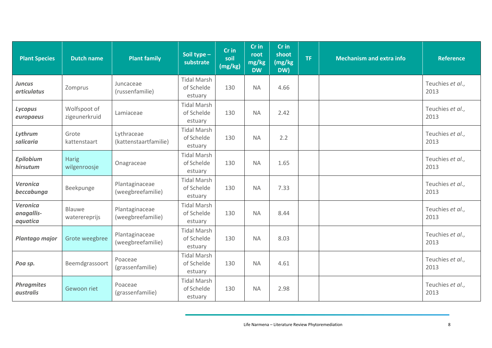| <b>Plant Species</b>                      | <b>Dutch name</b>             | <b>Plant family</b>                 | Soil type -<br>substrate                    | Cr in<br>soil<br>(mg/kg) | Cr in<br>root<br>mg/kg<br><b>DW</b> | Cr in<br>shoot<br>(mg/kg<br>DW) | <b>TF</b> | <b>Mechanism and extra info</b> | <b>Reference</b>         |
|-------------------------------------------|-------------------------------|-------------------------------------|---------------------------------------------|--------------------------|-------------------------------------|---------------------------------|-----------|---------------------------------|--------------------------|
| <b>Juncus</b><br><i>articulatus</i>       | Zomprus                       | Juncaceae<br>(russenfamilie)        | <b>Tidal Marsh</b><br>of Schelde<br>estuary | 130                      | <b>NA</b>                           | 4.66                            |           |                                 | Teuchies et al.,<br>2013 |
| Lycopus<br>europaeus                      | Wolfspoot of<br>zigeunerkruid | Lamiaceae                           | <b>Tidal Marsh</b><br>of Schelde<br>estuary | 130                      | <b>NA</b>                           | 2.42                            |           |                                 | Teuchies et al.,<br>2013 |
| Lythrum<br>salicaria                      | Grote<br>kattenstaart         | Lythraceae<br>(kattenstaartfamilie) | <b>Tidal Marsh</b><br>of Schelde<br>estuary | 130                      | <b>NA</b>                           | 2.2                             |           |                                 | Teuchies et al.,<br>2013 |
| Epilobium<br>hirsutum                     | <b>Harig</b><br>wilgenroosje  | Onagraceae                          | <b>Tidal Marsh</b><br>of Schelde<br>estuary | 130                      | <b>NA</b>                           | 1.65                            |           |                                 | Teuchies et al.,<br>2013 |
| <b>Veronica</b><br>beccabunga             | Beekpunge                     | Plantaginaceae<br>(weegbreefamilie) | <b>Tidal Marsh</b><br>of Schelde<br>estuary | 130                      | <b>NA</b>                           | 7.33                            |           |                                 | Teuchies et al.,<br>2013 |
| <b>Veronica</b><br>anagallis-<br>aquatica | Blauwe<br>waterereprijs       | Plantaginaceae<br>(weegbreefamilie) | <b>Tidal Marsh</b><br>of Schelde<br>estuary | 130                      | <b>NA</b>                           | 8.44                            |           |                                 | Teuchies et al.,<br>2013 |
| Plantago major                            | Grote weegbree                | Plantaginaceae<br>(weegbreefamilie) | <b>Tidal Marsh</b><br>of Schelde<br>estuary | 130                      | <b>NA</b>                           | 8.03                            |           |                                 | Teuchies et al.,<br>2013 |
| Poa sp.                                   | Beemdgrassoort                | Poaceae<br>(grassenfamilie)         | <b>Tidal Marsh</b><br>of Schelde<br>estuary | 130                      | <b>NA</b>                           | 4.61                            |           |                                 | Teuchies et al.,<br>2013 |
| <b>Phragmites</b><br><i>australis</i>     | Gewoon riet                   | Poaceae<br>(grassenfamilie)         | <b>Tidal Marsh</b><br>of Schelde<br>estuary | 130                      | <b>NA</b>                           | 2.98                            |           |                                 | Teuchies et al.,<br>2013 |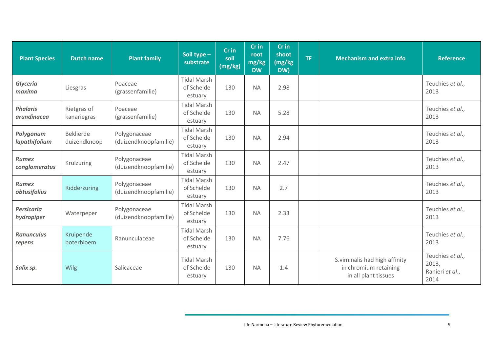| <b>Plant Species</b>            | <b>Dutch name</b>                | <b>Plant family</b>                   | Soil type $-$<br>substrate                  | Cr in<br>soil<br>(mg/kg) | Cr in<br>root<br>mg/kg<br><b>DW</b> | Cr in<br>shoot<br>(mg/kg<br>DW) | <b>TF</b> | <b>Mechanism and extra info</b>                                                 | <b>Reference</b>                                     |
|---------------------------------|----------------------------------|---------------------------------------|---------------------------------------------|--------------------------|-------------------------------------|---------------------------------|-----------|---------------------------------------------------------------------------------|------------------------------------------------------|
| <b>Glyceria</b><br>maxima       | Liesgras                         | Poaceae<br>(grassenfamilie)           | <b>Tidal Marsh</b><br>of Schelde<br>estuary | 130                      | <b>NA</b>                           | 2.98                            |           |                                                                                 | Teuchies et al.,<br>2013                             |
| <b>Phalaris</b><br>arundinacea  | Rietgras of<br>kanariegras       | Poaceae<br>(grassenfamilie)           | <b>Tidal Marsh</b><br>of Schelde<br>estuary | 130                      | <b>NA</b>                           | 5.28                            |           |                                                                                 | Teuchies et al.,<br>2013                             |
| Polygonum<br>lapathifolium      | <b>Beklierde</b><br>duizendknoop | Polygonaceae<br>(duizendknoopfamilie) | <b>Tidal Marsh</b><br>of Schelde<br>estuary | 130                      | <b>NA</b>                           | 2.94                            |           |                                                                                 | Teuchies et al.,<br>2013                             |
| <b>Rumex</b><br>conglomeratus   | Krulzuring                       | Polygonaceae<br>(duizendknoopfamilie) | <b>Tidal Marsh</b><br>of Schelde<br>estuary | 130                      | <b>NA</b>                           | 2.47                            |           |                                                                                 | Teuchies et al.,<br>2013                             |
| <b>Rumex</b><br>obtusifolius    | Ridderzuring                     | Polygonaceae<br>(duizendknoopfamilie) | <b>Tidal Marsh</b><br>of Schelde<br>estuary | 130                      | <b>NA</b>                           | 2.7                             |           |                                                                                 | Teuchies et al.,<br>2013                             |
| <b>Persicaria</b><br>hydropiper | Waterpeper                       | Polygonaceae<br>(duizendknoopfamilie) | <b>Tidal Marsh</b><br>of Schelde<br>estuary | 130                      | <b>NA</b>                           | 2.33                            |           |                                                                                 | Teuchies et al.,<br>2013                             |
| <b>Ranunculus</b><br>repens     | Kruipende<br>boterbloem          | Ranunculaceae                         | <b>Tidal Marsh</b><br>of Schelde<br>estuary | 130                      | <b>NA</b>                           | 7.76                            |           |                                                                                 | Teuchies et al.,<br>2013                             |
| Salix sp.                       | Wilg                             | Salicaceae                            | <b>Tidal Marsh</b><br>of Schelde<br>estuary | 130                      | <b>NA</b>                           | 1.4                             |           | S. viminalis had high affinity<br>in chromium retaining<br>in all plant tissues | Teuchies et al.,<br>2013,<br>Ranieri et al.,<br>2014 |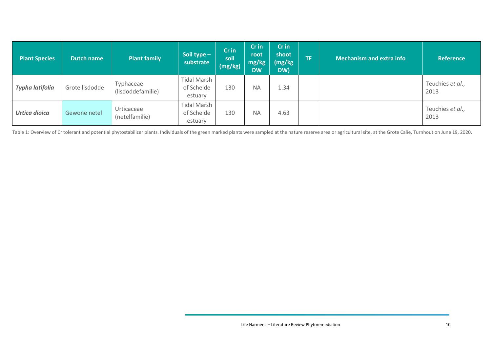| Plant Species          | <b>Dutch name</b> | <b>Plant family</b>            | Soil type $-$<br>substrate           | Cr in<br>soil<br>(mg/kg) | Cr in<br>root<br>mg/kg<br><b>DW</b> | Cr in<br>shoot<br>(mg/kg<br>DW) | <b>TF</b> | <b>Mechanism and extra info</b> | <b>Reference</b>         |
|------------------------|-------------------|--------------------------------|--------------------------------------|--------------------------|-------------------------------------|---------------------------------|-----------|---------------------------------|--------------------------|
| <b>Typha latifolia</b> | Grote lisdodde    | Typhaceae<br>(lisdoddefamilie) | Tidal Marsh<br>of Schelde<br>estuary | 130                      | <b>NA</b>                           | 1.34                            |           |                                 | Teuchies et al.,<br>2013 |
| Urtica dioica          | Gewone netel      | Urticaceae<br>(netelfamilie)   | Tidal Marsh<br>of Schelde<br>estuary | 130                      | <b>NA</b>                           | 4.63                            |           |                                 | Teuchies et al.,<br>2013 |

Table 1: Overview of Cr tolerant and potential phytostabilizer plants. Individuals of the green marked plants were sampled at the nature reserve area or agricultural site, at the Grote Calie, Turnhout on June 19, 2020.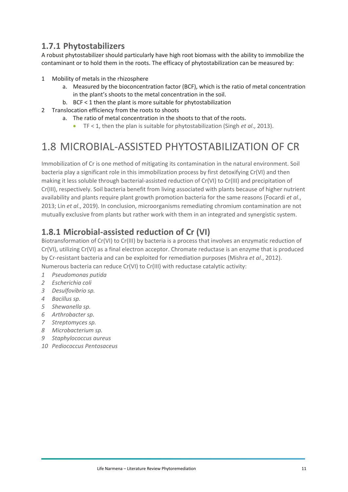#### **1.7.1 Phytostabilizers**

A robust phytostabilizer should particularly have high root biomass with the ability to immobilize the contaminant or to hold them in the roots. The efficacy of phytostabilization can be measured by:

- 1 Mobility of metals in the rhizosphere
	- a. Measured by the bioconcentration factor (BCF), which is the ratio of metal concentration in the plant's shoots to the metal concentration in the soil.
	- b. BCF < 1 then the plant is more suitable for phytostabilization
- 2 Translocation efficiency from the roots to shoots
	- a. The ratio of metal concentration in the shoots to that of the roots.
		- TF < 1, then the plan is suitable for phytostabilization (Singh *et al*., 2013).

## <span id="page-13-0"></span>1.8 MICROBIAL-ASSISTED PHYTOSTABILIZATION OF CR

Immobilization of Cr is one method of mitigating its contamination in the natural environment. Soil bacteria play a significant role in this immobilization process by first detoxifying Cr(VI) and then making it less soluble through bacterial-assisted reduction of Cr(VI) to Cr(III) and precipitation of Cr(III), respectively. Soil bacteria benefit from living associated with plants because of higher nutrient availability and plants require plant growth promotion bacteria for the same reasons (Focardi *et al*., 2013; Lin *et al*., 2019). In conclusion, microorganisms remediating chromium contamination are not mutually exclusive from plants but rather work with them in an integrated and synergistic system.

#### **1.8.1 Microbial-assisted reduction of Cr (VI)**

Biotransformation of Cr(VI) to Cr(III) by bacteria is a process that involves an enzymatic reduction of Cr(VI), utilizing Cr(VI) as a final electron acceptor. Chromate reductase is an enzyme that is produced by Cr-resistant bacteria and can be exploited for remediation purposes (Mishra *et al*., 2012). Numerous bacteria can reduce Cr(VI) to Cr(III) with reductase catalytic activity:

- *1 Pseudomonas putida*
- *2 Escherichia coli*
- *3 Desulfovibrio sp.*
- *4 Bacillus sp.*
- *5 Shewanella sp.*
- *6 Arthrobacter sp.*
- *7 Streptomyces sp.*
- *8 Microbacterium sp.*
- *9 Staphylococcus aureus*
- *10 Pediococcus Pentosaceus*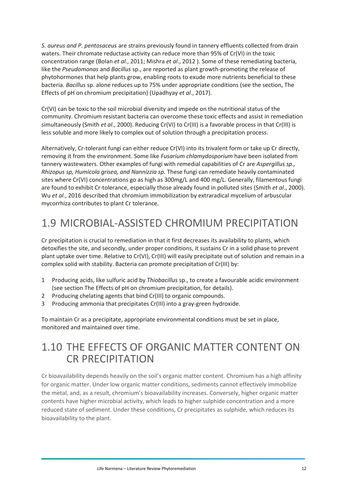*S. aureus and P. pentosaceus* are strains previously found in tannery effluents collected from drain waters. Their chromate reductase activity can reduce more than 95% of Cr(VI) in the toxic concentration range (Bolan *et al*., 2011; Mishra *et al*., 2012 ). Some of these remediating bacteria, like the *Pseudomonas* and *Bacillus* sp., are reported as plant growth-promoting the release of phytohormones that help plants grow, enabling roots to exude more nutrients beneficial to these bacteria. *Bacillus* sp. alone reduces up to 75% under appropriate conditions (see the section, The Effects of pH on chromium precipitation) (Upadhyay *et al*., 2017).

Cr(VI) can be toxic to the soil microbial diversity and impede on the nutritional status of the community. Chromium resistant bacteria can overcome these toxic effects and assist in remediation simultaneously (Smith *et al*., 2000). Reducing Cr(VI) to Cr(III) is a favorable process in that Cr(III) is less soluble and more likely to complex out of solution through a precipitation process.

Alternatively, Cr-tolerant fungi can either reduce Cr(VI) into its trivalent form or take up Cr directly, removing it from the environment. Some like *Fusarium chlamydosporium* have been isolated from tannery wastewaters. Other examples of fungi with remedial capabilities of Cr are *Aspergillus sp., Rhizopus sp, Humicola grisea, and Nannizzia sp.* These fungi can remediate heavily contaminated sites where Cr(VI) concentrations go as high as 300mg/L and 400 mg/L. Generally, filamentous fungi are found to exhibit Cr-tolerance, especially those already found in polluted sites (Smith *et al*., 2000). Wu *et al*., 2016 described that chromium immobilization by extraradical mycelium of arbuscular mycorrhiza contributes to plant Cr tolerance.

## <span id="page-14-0"></span>1.9 MICROBIAL-ASSISTED CHROMIUM PRECIPITATION

Cr precipitation is crucial to remediation in that it first decreases its availability to plants, which detoxifies the site, and secondly, under proper conditions, it sustains Cr in a solid phase to prevent plant uptake over time. Relative to Cr(VI), Cr(III) will easily precipitate out of solution and remain in a complex solid with stability. Bacteria can promote precipitation of Cr(III) by:

- 1 Producing acids, like sulfuric acid by *Thiobacillus* sp., to create a favourable acidic environment (see section The Effects of pH on chromium precipitation, for details).
- 2 Producing chelating agents that bind Cr(III) to organic compounds.
- 3 Producing ammonia that precipitates Cr(III) into a gray-green hydroxide.

To maintain Cr as a precipitate, appropriate environmental conditions must be set in place, monitored and maintained over time.

#### <span id="page-14-1"></span>1.10 THE EFFECTS OF ORGANIC MATTER CONTENT ON CR PRECIPITATION

Cr bioavailability depends heavily on the soil's organic matter content. Chromium has a high affinity for organic matter. Under low organic matter conditions, sediments cannot effectively immobilize the metal, and, as a result, chromium's bioavailability increases. Conversely, higher organic matter contents have higher microbial activity, which leads to higher sulphide concentration and a more reduced state of sediment. Under these conditions, Cr precipitates as sulphide, which reduces its bioavailability to the plant.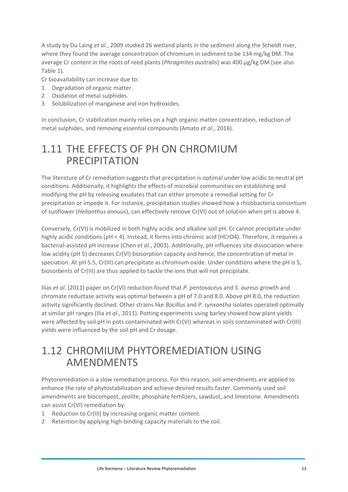A study by Du Laing *et al*., 2009 studied 26 wetland plants in the sediment along the Scheldt river, where they found the average concentration of chromium in sediment to be 134 mg/kg DM. The average Cr content in the roots of reed plants (*Phragmites australis*) was 400 μg/kg DM (see also Table 1).

Cr bioavailability can increase due to:

- 1 Degradation of organic matter.
- 2 Oxidation of metal sulphides.
- 3 Solubilization of manganese and iron hydroxides.

In conclusion, Cr stabilization mainly relies on a high organic matter concentration, reduction of metal sulphides, and removing essential compounds (Amato *et al*., 2016).

#### <span id="page-15-0"></span>1.11 THE EFFECTS OF PH ON CHROMIUM PRECIPITATION

The literature of Cr remediation suggests that precipitation is optimal under low acidic to neutral pH conditions. Additionally, it highlights the effects of microbial communities on establishing and modifying the pH by releasing exudates that can either promote a remedial setting for Cr precipitation or impede it. For instance, precipitation studies showed how a rhizobacteria consortium of sunflower (*Helianthus annuus*), can effectively remove Cr(VI) out of solution when pH is above 4.

Conversely, Cr(VI) is mobilized in both highly acidic and alkaline soil pH. Cr cannot precipitate under highly acidic conditions (pH < 4). Instead, it forms into chromic acid (HCrO4). Therefore, it requires a bacterial-assisted pH increase (Chen *et al*., 2003). Additionally, pH influences site dissociation where low acidity (pH 5) decreases Cr(VI) biosorption capacity and hence, the concentration of metal in speciation. At pH 5.5, Cr(III) can precipitate as chromium oxide. Under conditions where the pH is 5, biosorbents of Cr(III) are thus applied to tackle the ions that will not precipitate.

Ilias *et al*. (2011) paper on Cr(VI) reduction found that *P. pentosaceus* and *S. aureus* growth and chromate reductase activity was optimal between a pH of 7.0 and 8.0. Above pH 8.0, the reduction activity significantly declined. Other strains like *Bacillus* and *P. synxantha* isolates operated optimally at similar pH ranges (Ilia *et al*., 2011). Potting experiments using barley showed how plant yields were affected by soil pH in pots contaminated with Cr(VI) whereas in soils contaminated with Cr(III) yields were influenced by the soil pH and Cr dosage.

#### <span id="page-15-1"></span>1.12 CHROMIUM PHYTOREMEDIATION USING AMENDMENTS

Phytoremediation is a slow remediation process. For this reason, soil amendments are applied to enhance the rate of phytostabilization and achieve desired results faster. Commonly used soil amendments are biocompost, zeolite, phosphate fertilizers, sawdust, and limestone. Amendments can assist Cr(VI) remediation by:

- 1 Reduction to Cr(III) by increasing organic matter content.
- 2 Retention by applying high-binding capacity materials to the soil.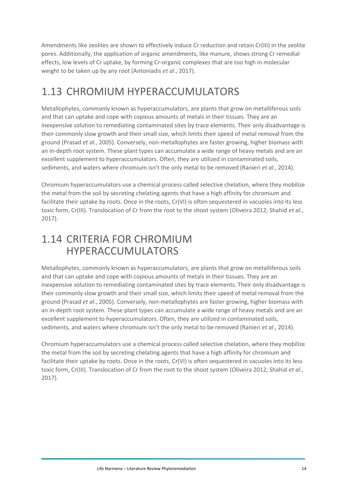Amendments like zeolites are shown to effectively induce Cr reduction and retain Cr(III) in the zeolite pores. Additionally, the application of organic amendments, like manure, shows strong Cr remedial effects, low levels of Cr uptake, by forming Cr-organic complexes that are too high in molecular weight to be taken up by any root (Antoniadis *et al*., 2017).

#### <span id="page-16-0"></span>1.13 CHROMIUM HYPERACCUMULATORS

Metallophytes, commonly known as hyperaccumulators, are plants that grow on metalliferous soils and that can uptake and cope with copious amounts of metals in their tissues. They are an inexpensive solution to remediating contaminated sites by trace elements. Their only disadvantage is their commonly slow growth and their small size, which limits their speed of metal removal from the ground (Prasad *et al*., 2005). Conversely, non-metallophytes are faster growing, higher biomass with an in-depth root system. These plant types can accumulate a wide range of heavy metals and are an excellent supplement to hyperaccumulators. Often, they are utilized in contaminated soils, sediments, and waters where chromium isn't the only metal to be removed (Ranieri *et al*., 2014).

Chromium hyperaccumulators use a chemical process called selective chelation, where they mobilize the metal from the soil by secreting chelating agents that have a high affinity for chromium and facilitate their uptake by roots. Once in the roots, Cr(VI) is often sequestered in vacuoles into its less toxic form, Cr(III). Translocation of Cr from the root to the shoot system (Oliveira 2012; Shahid *et al*., 2017).

#### <span id="page-16-1"></span>1.14 CRITERIA FOR CHROMIUM HYPERACCUMULATORS

Metallophytes, commonly known as hyperaccumulators, are plants that grow on metalliferous soils and that can uptake and cope with copious amounts of metals in their tissues. They are an inexpensive solution to remediating contaminated sites by trace elements. Their only disadvantage is their commonly slow growth and their small size, which limits their speed of metal removal from the ground (Prasad *et al*., 2005). Conversely, non-metallophytes are faster growing, higher biomass with an in-depth root system. These plant types can accumulate a wide range of heavy metals and are an excellent supplement to hyperaccumulators. Often, they are utilized in contaminated soils, sediments, and waters where chromium isn't the only metal to be removed (Ranieri *et al*., 2014).

Chromium hyperaccumulators use a chemical process called selective chelation, where they mobilize the metal from the soil by secreting chelating agents that have a high affinity for chromium and facilitate their uptake by roots. Once in the roots, Cr(VI) is often sequestered in vacuoles into its less toxic form, Cr(III). Translocation of Cr from the root to the shoot system (Oliveira 2012; Shahid *et al*., 2017).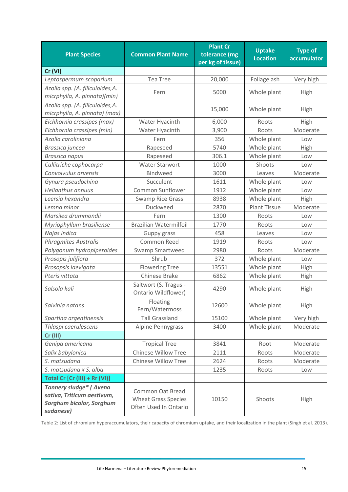| <b>Plant Species</b>                                                                          | <b>Common Plant Name</b>                                                | <b>Plant Cr</b><br>tolerance (mg<br>per kg of tissue) | <b>Uptake</b><br><b>Location</b> | <b>Type of</b><br>accumulator |
|-----------------------------------------------------------------------------------------------|-------------------------------------------------------------------------|-------------------------------------------------------|----------------------------------|-------------------------------|
| Cr (VI)                                                                                       |                                                                         |                                                       |                                  |                               |
| Leptospermum scoparium                                                                        | Tea Tree                                                                | 20,000                                                | Foliage ash                      | Very high                     |
| Azolla spp. (A. filiculoides, A.<br>micrphylla, A. pinnata)(min)                              | Fern                                                                    | 5000                                                  | Whole plant                      | High                          |
| Azolla spp. (A. filiculoides, A.<br>micrphylla, A. pinnata) (max)                             |                                                                         | 15,000                                                | Whole plant                      | High                          |
| Eichhornia crassipes (max)                                                                    | Water Hyacinth                                                          | 6,000                                                 | Roots                            | High                          |
| Eichhornia crassipes (min)                                                                    | Water Hyacinth                                                          | 3,900                                                 | Roots                            | Moderate                      |
| Azolla caroliniana                                                                            | Fern                                                                    | 356                                                   | Whole plant                      | Low                           |
| Brassica juncea                                                                               | Rapeseed                                                                | 5740                                                  | Whole plant                      | High                          |
| <b>Brassica napus</b>                                                                         | Rapeseed                                                                | 306.1                                                 | Whole plant                      | Low                           |
| Callitriche cophocarpa                                                                        | <b>Water Starwort</b>                                                   | 1000                                                  | Shoots                           | Low                           |
| Convolvulus arvensis                                                                          | <b>Bindweed</b>                                                         | 3000                                                  | Leaves                           | Moderate                      |
| Gynura pseudochina                                                                            | Succulent                                                               | 1611                                                  | Whole plant                      | Low                           |
| Helianthus annuus                                                                             | <b>Common Sunflower</b>                                                 | 1912                                                  | Whole plant                      | Low                           |
| Leersia hexandra                                                                              | <b>Swamp Rice Grass</b>                                                 | 8938                                                  | Whole plant                      | High                          |
| Lemna minor                                                                                   | Duckweed                                                                | 2870                                                  | <b>Plant Tissue</b>              | Moderate                      |
| Marsilea drummondii                                                                           | Fern                                                                    | 1300                                                  | Roots                            | Low                           |
| Myriophyllum brasiliense                                                                      | <b>Brazilian Watermilfoil</b>                                           | 1770                                                  | Roots                            | Low                           |
| Najas indica                                                                                  | Guppy grass                                                             | 458                                                   | Leaves                           | Low                           |
| <b>Phragmites Australis</b>                                                                   | Common Reed                                                             | 1919                                                  | Roots                            | Low                           |
| Polygonum hydropiperoides                                                                     | Swamp Smartweed                                                         |                                                       | Roots                            | Moderate                      |
| Prosopis juliflora                                                                            | Shrub                                                                   | 372                                                   | Whole plant                      | Low                           |
| Prosopsis laevigata                                                                           | <b>Flowering Tree</b>                                                   | 13551                                                 | Whole plant                      | High                          |
| Pteris vittata                                                                                | <b>Chinese Brake</b>                                                    | 6862                                                  | Whole plant                      | High                          |
| Salsola kali                                                                                  | Saltwort (S. Tragus -<br>Ontario Wildflower)                            | 4290                                                  | Whole plant                      | High                          |
| Salvinia natans                                                                               | Floating<br>Fern/Watermoss                                              | 12600                                                 | Whole plant                      | High                          |
| Spartina argentinensis                                                                        | <b>Tall Grassland</b>                                                   | 15100                                                 | Whole plant                      | Very high                     |
| Thlaspi caerulescens                                                                          | Alpine Pennygrass                                                       | 3400                                                  | Whole plant                      | Moderate                      |
| <b>Cr (III)</b>                                                                               |                                                                         |                                                       |                                  |                               |
| Genipa americana                                                                              | <b>Tropical Tree</b>                                                    | 3841                                                  | Root                             | Moderate                      |
| Salix babylonica                                                                              | <b>Chinese Willow Tree</b>                                              | 2111                                                  | Roots                            | Moderate                      |
| S. matsudana                                                                                  | <b>Chinese Willow Tree</b>                                              | 2624                                                  | Roots                            | Moderate                      |
| S. matsudana x S. alba                                                                        |                                                                         | 1235                                                  | Roots                            | Low                           |
| Total Cr [Cr (III) + Rr (VI)]                                                                 |                                                                         |                                                       |                                  |                               |
| Tannery sludge* (Avena<br>sativa, Triticum aestivum,<br>Sorghum bicolor, Sorghum<br>sudanese) | Common Oat Bread<br><b>Wheat Grass Species</b><br>Often Used In Ontario |                                                       | Shoots                           | High                          |

Table 2: List of chromium hyperaccumulators, their capacity of chromium uptake, and their localization in the plant (Singh et al. 2013).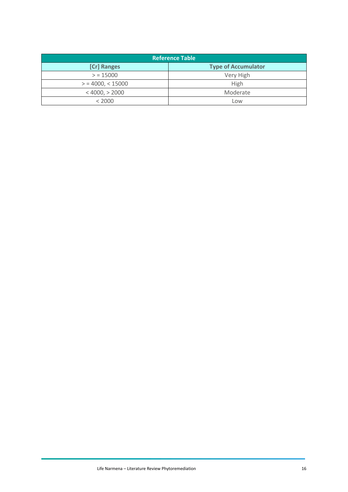| <b>Reference Table</b> |                            |  |  |  |  |
|------------------------|----------------------------|--|--|--|--|
| [Cr] Ranges            | <b>Type of Accumulator</b> |  |  |  |  |
| > 15000                | Very High                  |  |  |  |  |
| $>$ = 4000, < 15000    | High                       |  |  |  |  |
| < 4000, > 2000         | Moderate                   |  |  |  |  |
| < 2000                 | Low                        |  |  |  |  |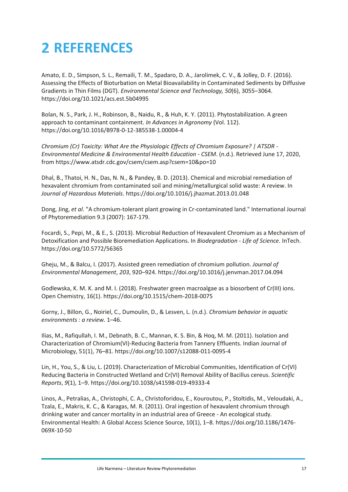## <span id="page-19-0"></span>**REFERENCES**

Amato, E. D., Simpson, S. L., Remaili, T. M., Spadaro, D. A., Jarolimek, C. V., & Jolley, D. F. (2016). Assessing the Effects of Bioturbation on Metal Bioavailability in Contaminated Sediments by Diffusive Gradients in Thin Films (DGT). *Environmental Science and Technology, 50*(6), 3055–3064. https://doi.org/10.1021/acs.est.5b04995

Bolan, N. S., Park, J. H., Robinson, B., Naidu, R., & Huh, K. Y. (2011). Phytostabilization. A green approach to contaminant containment. *In Advances in Agronomy* (Vol. 112). https://doi.org/10.1016/B978-0-12-385538-1.00004-4

*Chromium (Cr) Toxicity: What Are the Physiologic Effects of Chromium Exposure? | ATSDR - Environmental Medicine & Environmental Health Education - CSEM*. (n.d.). Retrieved June 17, 2020, from https://www.atsdr.cdc.gov/csem/csem.asp?csem=10&po=10

Dhal, B., Thatoi, H. N., Das, N. N., & Pandey, B. D. (2013). Chemical and microbial remediation of hexavalent chromium from contaminated soil and mining/metallurgical solid waste: A review. In *Journal of Hazardous Materials*. https://doi.org/10.1016/j.jhazmat.2013.01.048

Dong, Jing, *et al*. "A chromium-tolerant plant growing in Cr-contaminated land." International Journal of Phytoremediation 9.3 (2007): 167-179.

Focardi, S., Pepi, M., & E., S. (2013). Microbial Reduction of Hexavalent Chromium as a Mechanism of Detoxification and Possible Bioremediation Applications. In *Biodegradation - Life of Science*. InTech. https://doi.org/10.5772/56365

Gheju, M., & Balcu, I. (2017). Assisted green remediation of chromium pollution. *Journal of Environmental Management*, *203*, 920–924. https://doi.org/10.1016/j.jenvman.2017.04.094

Godlewska, K. M. K. and M. I. (2018). Freshwater green macroalgae as a biosorbent of Cr(III) ions. Open Chemistry, 16(1). https://doi.org/10.1515/chem-2018-0075

Gorny, J., Billon, G., Noiriel, C., Dumoulin, D., & Lesven, L. (n.d.). *Chromium behavior in aquatic environments : a review.* 1–46.

Ilias, M., Rafiqullah, I. M., Debnath, B. C., Mannan, K. S. Bin, & Hoq, M. M. (2011). Isolation and Characterization of Chromium(VI)-Reducing Bacteria from Tannery Effluents. Indian Journal of Microbiology, 51(1), 76–81. https://doi.org/10.1007/s12088-011-0095-4

Lin, H., You, S., & Liu, L. (2019). Characterization of Microbial Communities, Identification of Cr(VI) Reducing Bacteria in Constructed Wetland and Cr(VI) Removal Ability of Bacillus cereus. *Scientific Reports*, *9*(1), 1–9. https://doi.org/10.1038/s41598-019-49333-4

Linos, A., Petralias, A., Christophi, C. A., Christoforidou, E., Kouroutou, P., Stoltidis, M., Veloudaki, A., Tzala, E., Makris, K. C., & Karagas, M. R. (2011). Oral ingestion of hexavalent chromium through drinking water and cancer mortality in an industrial area of Greece - An ecological study. Environmental Health: A Global Access Science Source, 10(1), 1–8. https://doi.org/10.1186/1476- 069X-10-50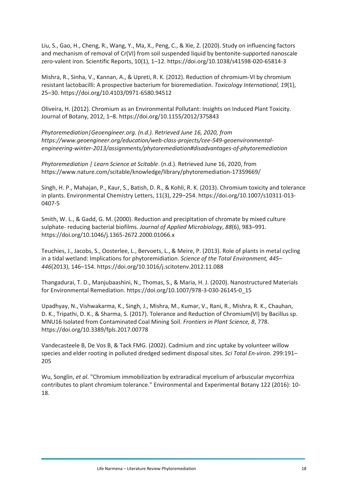Liu, S., Gao, H., Cheng, R., Wang, Y., Ma, X., Peng, C., & Xie, Z. (2020). Study on influencing factors and mechanism of removal of Cr(VI) from soil suspended liquid by bentonite-supported nanoscale zero-valent iron. Scientific Reports, 10(1), 1–12. https://doi.org/10.1038/s41598-020-65814-3

Mishra, R., Sinha, V., Kannan, A., & Upreti, R. K. (2012). Reduction of chromium-VI by chromium resistant lactobacilli: A prospective bacterium for bioremediation. *Toxicology International, 19*(1), 25–30. https://doi.org/10.4103/0971-6580.94512

Oliveira, H. (2012). Chromium as an Environmental Pollutant: Insights on Induced Plant Toxicity. Journal of Botany, 2012, 1–8. https://doi.org/10.1155/2012/375843

*Phytoremediation|Geoengineer.org. (n.d.). Retrieved June 16, 2020, from https://www.geoengineer.org/education/web-class-projects/cee-549-geoenvironmentalengineering-winter-2013/assignments/phytoremediation#disadvantages-of-phytoremediation*

*Phytoremediation | Learn Science at Scitable*. (n.d.). Retrieved June 16, 2020, from https://www.nature.com/scitable/knowledge/library/phytoremediation-17359669/

Singh, H. P., Mahajan, P., Kaur, S., Batish, D. R., & Kohli, R. K. (2013). Chromium toxicity and tolerance in plants. Environmental Chemistry Letters, 11(3), 229–254. https://doi.org/10.1007/s10311-013- 0407-5

Smith, W. L., & Gadd, G. M. (2000). Reduction and precipitation of chromate by mixed culture sulphate- reducing bacterial biofilms. *Journal of Applied Microbiology*, *88*(6), 983–991. https://doi.org/10.1046/j.1365-2672.2000.01066.x

Teuchies, J., Jacobs, S., Oosterlee, L., Bervoets, L., & Meire, P. (2013). Role of plants in metal cycling in a tidal wetland: Implications for phytoremidiation. *Science of the Total Environment, 445– 446*(2013), 146–154. https://doi.org/10.1016/j.scitotenv.2012.11.088

Thangadurai, T. D., Manjubaashini, N., Thomas, S., & Maria, H. J. (2020). Nanostructured Materials for Environmental Remediation. https://doi.org/10.1007/978-3-030-26145-0\_15

Upadhyay, N., Vishwakarma, K., Singh, J., Mishra, M., Kumar, V., Rani, R., Mishra, R. K., Chauhan, D. K., Tripathi, D. K., & Sharma, S. (2017). Tolerance and Reduction of Chromium(VI) by Bacillus sp. MNU16 Isolated from Contaminated Coal Mining Soil. *Frontiers in Plant Science, 8*, 778. https://doi.org/10.3389/fpls.2017.00778

Vandecasteele B, De Vos B, & Tack FMG. (2002). Cadmium and zinc uptake by volunteer willow species and elder rooting in polluted dredged sediment disposal sites. *Sci Total En-viron*. 299:191– 205

Wu, Songlin, *et al*. "Chromium immobilization by extraradical mycelium of arbuscular mycorrhiza contributes to plant chromium tolerance." Environmental and Experimental Botany 122 (2016): 10- 18.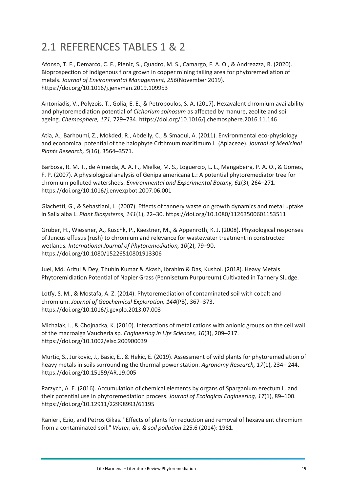#### <span id="page-21-0"></span>2.1 REFERENCES TABLES 1 & 2

Afonso, T. F., Demarco, C. F., Pieniz, S., Quadro, M. S., Camargo, F. A. O., & Andreazza, R. (2020). Bioprospection of indigenous flora grown in copper mining tailing area for phytoremediation of metals. *Journal of Environmental Management, 256*(November 2019). https://doi.org/10.1016/j.jenvman.2019.109953

Antoniadis, V., Polyzois, T., Golia, E. E., & Petropoulos, S. A. (2017). Hexavalent chromium availability and phytoremediation potential of *Cichorium spinosum* as affected by manure, zeolite and soil ageing. *Chemosphere, 171*, 729–734. https://doi.org/10.1016/j.chemosphere.2016.11.146

Atia, A., Barhoumi, Z., Mokded, R., Abdelly, C., & Smaoui, A. (2011). Environmental eco-physiology and economical potential of the halophyte Crithmum maritimum L. (Apiaceae). *Journal of Medicinal Plants Research, 5*(16), 3564–3571.

Barbosa, R. M. T., de Almeida, A. A. F., Mielke, M. S., Loguercio, L. L., Mangabeira, P. A. O., & Gomes, F. P. (2007). A physiological analysis of Genipa americana L.: A potential phytoremediator tree for chromium polluted watersheds. *Environmental and Experimental Botany, 61*(3), 264–271. https://doi.org/10.1016/j.envexpbot.2007.06.001

Giachetti, G., & Sebastiani, L. (2007). Effects of tannery waste on growth dynamics and metal uptake in Salix alba L. *Plant Biosystems, 141*(1), 22–30. https://doi.org/10.1080/11263500601153511

Gruber, H., Wiessner, A., Kuschk, P., Kaestner, M., & Appenroth, K. J. (2008). Physiological responses of Juncus effusus (rush) to chromium and relevance for wastewater treatment in constructed wetlands*. International Journal of Phytoremediation, 10*(2), 79–90. https://doi.org/10.1080/15226510801913306

Juel, Md. Ariful & Dey, Thuhin Kumar & Akash, Ibrahim & Das, Kushol. (2018). Heavy Metals Phytoremidiation Potential of Napier Grass (Pennisetum Purpureum) Cultivated in Tannery Sludge.

Lotfy, S. M., & Mostafa, A. Z. (2014). Phytoremediation of contaminated soil with cobalt and chromium. *Journal of Geochemical Exploration, 144*(PB), 367–373. https://doi.org/10.1016/j.gexplo.2013.07.003

Michalak, I., & Chojnacka, K. (2010). Interactions of metal cations with anionic groups on the cell wall of the macroalga Vaucheria sp. *Engineering in Life Sciences, 10*(3), 209–217. https://doi.org/10.1002/elsc.200900039

Murtic, S., Jurkovic, J., Basic, E., & Hekic, E. (2019). Assessment of wild plants for phytoremediation of heavy metals in soils surrounding the thermal power station. *Agronomy Research, 17*(1), 234– 244. https://doi.org/10.15159/AR.19.005

Parzych, A. E. (2016). Accumulation of chemical elements by organs of Sparganium erectum L. and their potential use in phytoremediation process. *Journal of Ecological Engineering, 17*(1), 89–100. https://doi.org/10.12911/22998993/61195

Ranieri, Ezio, and Petros Gikas. "Effects of plants for reduction and removal of hexavalent chromium from a contaminated soil." *Water, air, & soil pollution* 225.6 (2014): 1981.